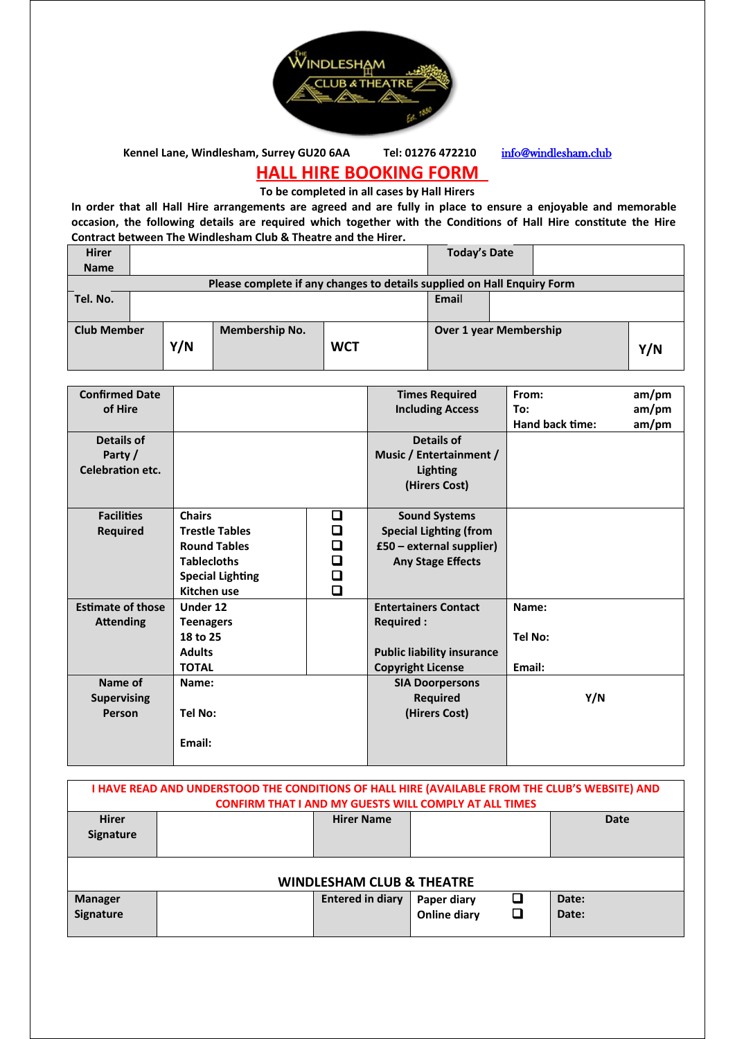

Kennel Lane, Windlesham, Surrey GU20 6AA Tel: 01276 472210 <info@windlesham.club>

## **HALL HIRE BOOKING FORM**

**To be completed in all cases by Hall Hirers**

**In order that all Hall Hire arrangements are agreed and are fully in place to ensure a enjoyable and memorable occasion, the following details are required which together with the Conditions of Hall Hire constitute the Hire Contract between The Windlesham Club & Theatre and the Hirer.** 

|                    |                       |            | Email |                     |                                                                                                          |
|--------------------|-----------------------|------------|-------|---------------------|----------------------------------------------------------------------------------------------------------|
|                    |                       |            |       |                     |                                                                                                          |
| <b>Club Member</b> | <b>Membership No.</b> |            |       |                     |                                                                                                          |
|                    |                       | <b>WCT</b> |       |                     | Y/N                                                                                                      |
|                    |                       |            |       |                     |                                                                                                          |
|                    | Y/N                   |            |       | <b>Today's Date</b> | Please complete if any changes to details supplied on Hall Enquiry Form<br><b>Over 1 year Membership</b> |

| <b>Confirmed Date</b>    |                         |        | <b>Times Required</b>             | From:           | am/pm |
|--------------------------|-------------------------|--------|-----------------------------------|-----------------|-------|
| of Hire                  |                         |        | <b>Including Access</b>           | To:             | am/pm |
|                          |                         |        |                                   | Hand back time: | am/pm |
| Details of               |                         |        | Details of                        |                 |       |
| Party /                  |                         |        | Music / Entertainment /           |                 |       |
| Celebration etc.         |                         |        | Lighting                          |                 |       |
|                          |                         |        | (Hirers Cost)                     |                 |       |
|                          |                         |        |                                   |                 |       |
| <b>Facilities</b>        | <b>Chairs</b>           | ❏      | <b>Sound Systems</b>              |                 |       |
| <b>Required</b>          | <b>Trestle Tables</b>   | □      | <b>Special Lighting (from</b>     |                 |       |
|                          | <b>Round Tables</b>     | $\Box$ | £50 - external supplier)          |                 |       |
|                          | <b>Tablecloths</b>      | $\Box$ | <b>Any Stage Effects</b>          |                 |       |
|                          | <b>Special Lighting</b> | $\Box$ |                                   |                 |       |
|                          | Kitchen use             | $\Box$ |                                   |                 |       |
| <b>Estimate of those</b> | Under 12                |        | <b>Entertainers Contact</b>       | Name:           |       |
| <b>Attending</b>         | <b>Teenagers</b>        |        | <b>Required:</b>                  |                 |       |
|                          | 18 to 25                |        |                                   | Tel No:         |       |
|                          | <b>Adults</b>           |        | <b>Public liability insurance</b> |                 |       |
|                          | <b>TOTAL</b>            |        | <b>Copyright License</b>          | Email:          |       |
| Name of                  | Name:                   |        | <b>SIA Doorpersons</b>            |                 |       |
| <b>Supervising</b>       |                         |        | <b>Required</b>                   | Y/N             |       |
| Person                   | <b>Tel No:</b>          |        | (Hirers Cost)                     |                 |       |
|                          |                         |        |                                   |                 |       |
|                          | Email:                  |        |                                   |                 |       |
|                          |                         |        |                                   |                 |       |

| I HAVE READ AND UNDERSTOOD THE CONDITIONS OF HALL HIRE (AVAILABLE FROM THE CLUB'S WEBSITE) AND |                                                              |                         |                     |   |       |
|------------------------------------------------------------------------------------------------|--------------------------------------------------------------|-------------------------|---------------------|---|-------|
|                                                                                                | <b>CONFIRM THAT I AND MY GUESTS WILL COMPLY AT ALL TIMES</b> |                         |                     |   |       |
| <b>Hirer</b>                                                                                   |                                                              | <b>Hirer Name</b>       |                     |   | Date  |
| <b>Signature</b>                                                                               |                                                              |                         |                     |   |       |
|                                                                                                |                                                              |                         |                     |   |       |
|                                                                                                |                                                              |                         |                     |   |       |
| <b>WINDLESHAM CLUB &amp; THEATRE</b>                                                           |                                                              |                         |                     |   |       |
| <b>Manager</b>                                                                                 |                                                              | <b>Entered in diary</b> | Paper diary         | ❏ | Date: |
| Signature                                                                                      |                                                              |                         | <b>Online diary</b> | ❏ | Date: |
|                                                                                                |                                                              |                         |                     |   |       |